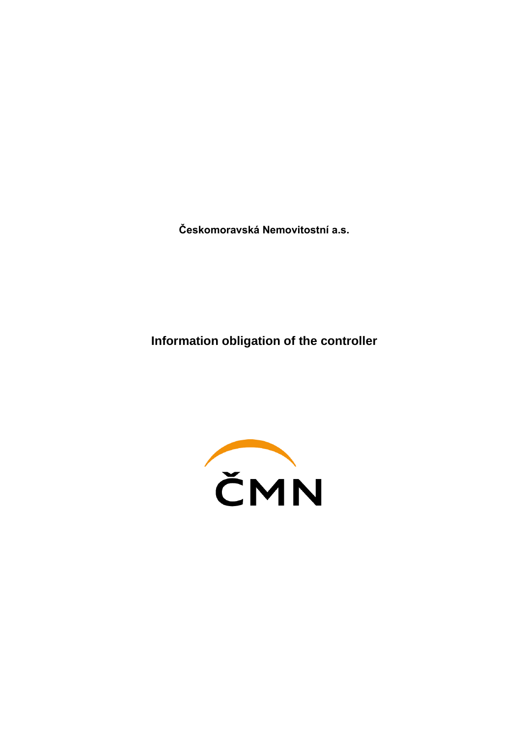**Českomoravská Nemovitostní a.s.**

**Information obligation of the controller**

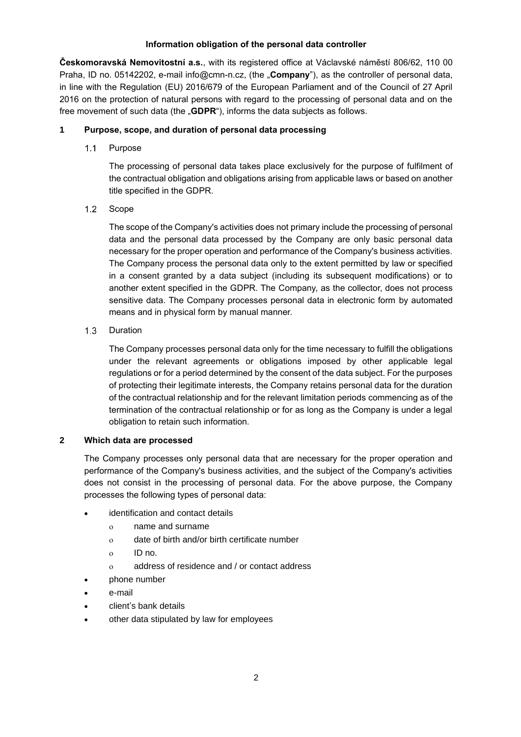## **Information obligation of the personal data controller**

**Českomoravská Nemovitostní a.s.**, with its registered office at Václavské náměstí 806/62, 110 00 Praha, ID no. 05142202, e-mail info@cmn-n.cz, (the "**Company**"), as the controller of personal data, in line with the Regulation (EU) 2016/679 of the European Parliament and of the Council of 27 April 2016 on the protection of natural persons with regard to the processing of personal data and on the free movement of such data (the "**GDPR**"), informs the data subjects as follows.

# **1 Purpose, scope, and duration of personal data processing**

 $1.1$ Purpose

> The processing of personal data takes place exclusively for the purpose of fulfilment of the contractual obligation and obligations arising from applicable laws or based on another title specified in the GDPR.

 $1.2$ Scope

> The scope of the Company's activities does not primary include the processing of personal data and the personal data processed by the Company are only basic personal data necessary for the proper operation and performance of the Company's business activities. The Company process the personal data only to the extent permitted by law or specified in a consent granted by a data subject (including its subsequent modifications) or to another extent specified in the GDPR. The Company, as the collector, does not process sensitive data. The Company processes personal data in electronic form by automated means and in physical form by manual manner.

#### $1.3$ Duration

The Company processes personal data only for the time necessary to fulfill the obligations under the relevant agreements or obligations imposed by other applicable legal regulations or for a period determined by the consent of the data subject. For the purposes of protecting their legitimate interests, the Company retains personal data for the duration of the contractual relationship and for the relevant limitation periods commencing as of the termination of the contractual relationship or for as long as the Company is under a legal obligation to retain such information.

## **2 Which data are processed**

The Company processes only personal data that are necessary for the proper operation and performance of the Company's business activities, and the subject of the Company's activities does not consist in the processing of personal data. For the above purpose, the Company processes the following types of personal data:

- identification and contact details
	- name and surname
	- date of birth and/or birth certificate number
	- ID no.
	- address of residence and / or contact address
	- phone number
- e-mail
- client's bank details
- other data stipulated by law for employees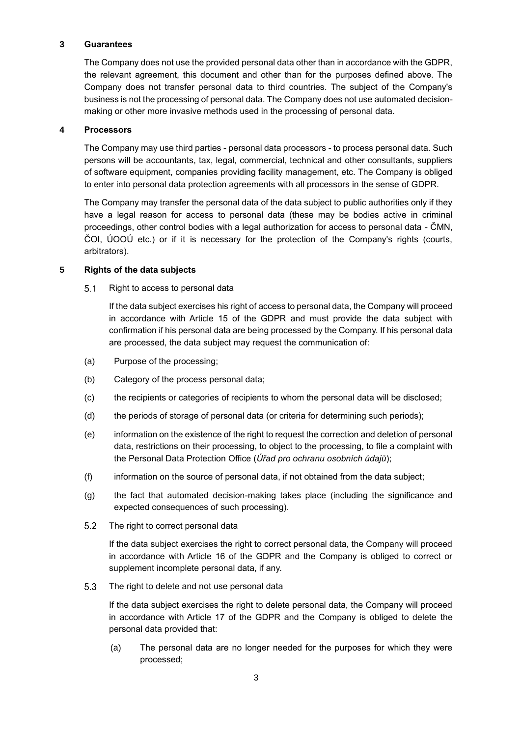## **3 Guarantees**

The Company does not use the provided personal data other than in accordance with the GDPR, the relevant agreement, this document and other than for the purposes defined above. The Company does not transfer personal data to third countries. The subject of the Company's business is not the processing of personal data. The Company does not use automated decisionmaking or other more invasive methods used in the processing of personal data.

## **4 Processors**

The Company may use third parties - personal data processors - to process personal data. Such persons will be accountants, tax, legal, commercial, technical and other consultants, suppliers of software equipment, companies providing facility management, etc. The Company is obliged to enter into personal data protection agreements with all processors in the sense of GDPR.

The Company may transfer the personal data of the data subject to public authorities only if they have a legal reason for access to personal data (these may be bodies active in criminal proceedings, other control bodies with a legal authorization for access to personal data - ČMN, ČOI, ÚOOÚ etc.) or if it is necessary for the protection of the Company's rights (courts, arbitrators).

## **5 Rights of the data subjects**

 $5.1$ Right to access to personal data

> If the data subject exercises his right of access to personal data, the Company will proceed in accordance with Article 15 of the GDPR and must provide the data subject with confirmation if his personal data are being processed by the Company. If his personal data are processed, the data subject may request the communication of:

- (a) Purpose of the processing;
- (b) Category of the process personal data;
- (c) the recipients or categories of recipients to whom the personal data will be disclosed;
- (d) the periods of storage of personal data (or criteria for determining such periods);
- (e) information on the existence of the right to request the correction and deletion of personal data, restrictions on their processing, to object to the processing, to file a complaint with the Personal Data Protection Office (*Úřad pro ochranu osobních údajů*);
- (f) information on the source of personal data, if not obtained from the data subject;
- (g) the fact that automated decision-making takes place (including the significance and expected consequences of such processing).
- $5.2$ The right to correct personal data

If the data subject exercises the right to correct personal data, the Company will proceed in accordance with Article 16 of the GDPR and the Company is obliged to correct or supplement incomplete personal data, if any.

 $5.3$ The right to delete and not use personal data

> If the data subject exercises the right to delete personal data, the Company will proceed in accordance with Article 17 of the GDPR and the Company is obliged to delete the personal data provided that:

> (a) The personal data are no longer needed for the purposes for which they were processed;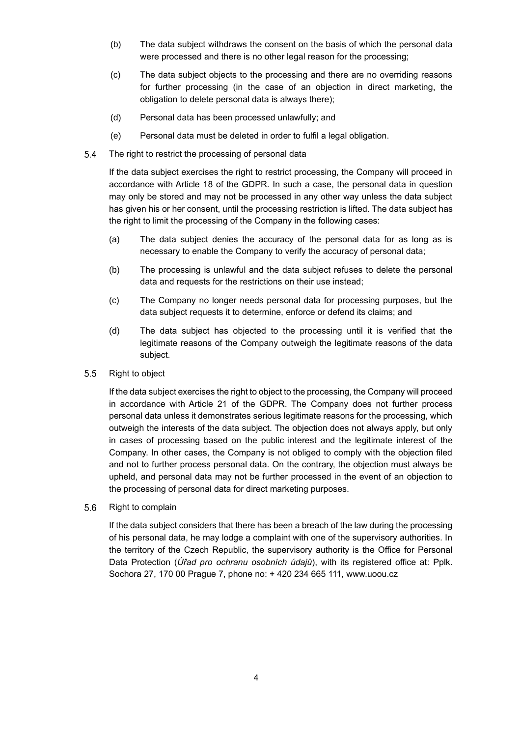- (b) The data subject withdraws the consent on the basis of which the personal data were processed and there is no other legal reason for the processing;
- (c) The data subject objects to the processing and there are no overriding reasons for further processing (in the case of an objection in direct marketing, the obligation to delete personal data is always there);
- (d) Personal data has been processed unlawfully; and
- (e) Personal data must be deleted in order to fulfil a legal obligation.
- 5.4 The right to restrict the processing of personal data

If the data subject exercises the right to restrict processing, the Company will proceed in accordance with Article 18 of the GDPR. In such a case, the personal data in question may only be stored and may not be processed in any other way unless the data subject has given his or her consent, until the processing restriction is lifted. The data subject has the right to limit the processing of the Company in the following cases:

- (a) The data subject denies the accuracy of the personal data for as long as is necessary to enable the Company to verify the accuracy of personal data;
- (b) The processing is unlawful and the data subject refuses to delete the personal data and requests for the restrictions on their use instead;
- (c) The Company no longer needs personal data for processing purposes, but the data subject requests it to determine, enforce or defend its claims; and
- (d) The data subject has objected to the processing until it is verified that the legitimate reasons of the Company outweigh the legitimate reasons of the data subject.
- $5.5$ Right to object

If the data subject exercises the right to object to the processing, the Company will proceed in accordance with Article 21 of the GDPR. The Company does not further process personal data unless it demonstrates serious legitimate reasons for the processing, which outweigh the interests of the data subject. The objection does not always apply, but only in cases of processing based on the public interest and the legitimate interest of the Company. In other cases, the Company is not obliged to comply with the objection filed and not to further process personal data. On the contrary, the objection must always be upheld, and personal data may not be further processed in the event of an objection to the processing of personal data for direct marketing purposes.

5.6 Right to complain

> If the data subject considers that there has been a breach of the law during the processing of his personal data, he may lodge a complaint with one of the supervisory authorities. In the territory of the Czech Republic, the supervisory authority is the Office for Personal Data Protection (*Úřad pro ochranu osobních údajů*), with its registered office at: Pplk. Sochora 27, 170 00 Prague 7, phone no: + 420 234 665 111, www.uoou.cz